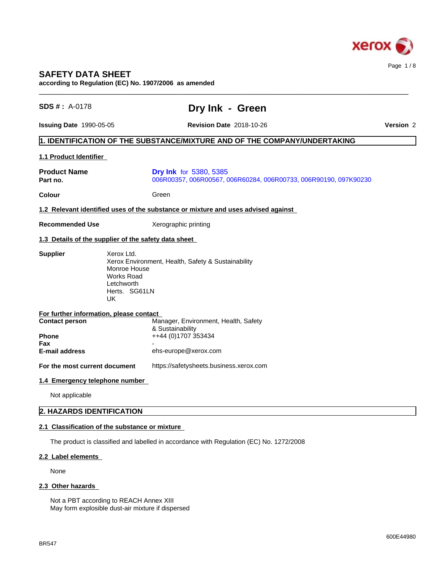

# **SAFETY DATA SHEET**

**according to Regulation (EC) No. 1907/2006 as amended**

| SDS #: A-0178                                                    | Dry Ink - Green                                                                                                                                        |           |  |  |
|------------------------------------------------------------------|--------------------------------------------------------------------------------------------------------------------------------------------------------|-----------|--|--|
| <b>Issuing Date 1990-05-05</b>                                   | <b>Revision Date 2018-10-26</b>                                                                                                                        | Version 2 |  |  |
|                                                                  | 1. IDENTIFICATION OF THE SUBSTANCE/MIXTURE AND OF THE COMPANY/UNDERTAKING                                                                              |           |  |  |
| 1.1 Product Identifier                                           |                                                                                                                                                        |           |  |  |
| <b>Product Name</b><br>Part no.                                  | <b>Dry Ink</b> for 5380, 5385<br>006R00357, 006R00567, 006R60284, 006R00733, 006R90190, 097K90230                                                      |           |  |  |
| <b>Colour</b>                                                    | Green                                                                                                                                                  |           |  |  |
|                                                                  | 1.2 Relevant identified uses of the substance or mixture and uses advised against                                                                      |           |  |  |
| <b>Recommended Use</b>                                           | Xerographic printing                                                                                                                                   |           |  |  |
|                                                                  | 1.3 Details of the supplier of the safety data sheet                                                                                                   |           |  |  |
|                                                                  | <b>Supplier</b><br>Xerox Environment, Health, Safety & Sustainability<br>Monroe House<br><b>Works Road</b><br>Letchworth<br>Herts. SG61LN<br><b>UK</b> |           |  |  |
| For further information, please contact<br><b>Contact person</b> | Manager, Environment, Health, Safety                                                                                                                   |           |  |  |
| Phone                                                            | & Sustainability<br>++44 (0)1707 353434                                                                                                                |           |  |  |
| Fax<br>E-mail address                                            | ehs-europe@xerox.com                                                                                                                                   |           |  |  |
| For the most current document                                    | https://safetysheets.business.xerox.com                                                                                                                |           |  |  |
| 1.4 Emergency telephone number                                   |                                                                                                                                                        |           |  |  |
| Not applicable                                                   |                                                                                                                                                        |           |  |  |
| 2. HAZARDS IDENTIFICATION                                        |                                                                                                                                                        |           |  |  |
| 2.1 Classification of the substance or mixture                   |                                                                                                                                                        |           |  |  |
|                                                                  | The product is classified and labelled in accordance with Regulation (EC) No. 1272/2008                                                                |           |  |  |
|                                                                  |                                                                                                                                                        |           |  |  |
| 2.2 Label elements                                               |                                                                                                                                                        |           |  |  |

# 2.3 Other hazards

Not a PBT according to REACH Annex XIII May form explosible dust-air mixture if dispersed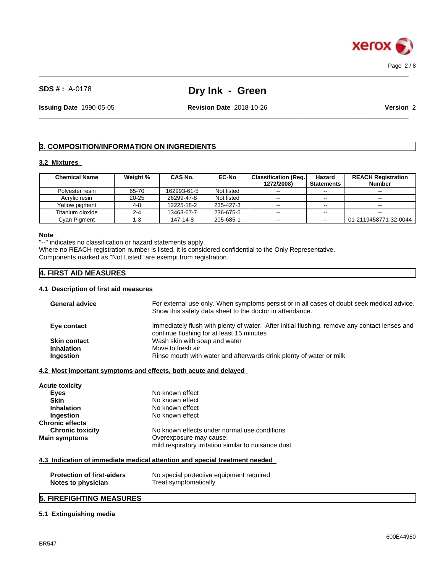

# **SDS # :** A-0178 **Dry Ink - Green**

 $\_$  ,  $\_$  ,  $\_$  ,  $\_$  ,  $\_$  ,  $\_$  ,  $\_$  ,  $\_$  ,  $\_$  ,  $\_$  ,  $\_$  ,  $\_$  ,  $\_$  ,  $\_$  ,  $\_$  ,  $\_$  ,  $\_$  ,  $\_$  ,  $\_$  ,  $\_$  ,  $\_$  ,  $\_$  ,  $\_$  ,  $\_$  ,  $\_$  ,  $\_$  ,  $\_$  ,  $\_$  ,  $\_$  ,  $\_$  ,  $\_$  ,  $\_$  ,  $\_$  ,  $\_$  ,  $\_$  ,  $\_$  ,  $\_$  ,

 $\_$  ,  $\_$  ,  $\_$  ,  $\_$  ,  $\_$  ,  $\_$  ,  $\_$  ,  $\_$  ,  $\_$  ,  $\_$  ,  $\_$  ,  $\_$  ,  $\_$  ,  $\_$  ,  $\_$  ,  $\_$  ,  $\_$  ,  $\_$  ,  $\_$  ,  $\_$  ,  $\_$  ,  $\_$  ,  $\_$  ,  $\_$  ,  $\_$  ,  $\_$  ,  $\_$  ,  $\_$  ,  $\_$  ,  $\_$  ,  $\_$  ,  $\_$  ,  $\_$  ,  $\_$  ,  $\_$  ,  $\_$  ,  $\_$  ,

**Issuing Date** 1990-05-05 **Revision Date** 2018-10-26 **Version** 2

# **3. COMPOSITION/INFORMATION ON INGREDIENTS**

#### **3.2 Mixtures**

| <b>Chemical Name</b> | Weight %  | <b>CAS No.</b> | <b>EC-No</b> | <b>Classification (Reg.)</b> | Hazard                   | <b>REACH Registration</b> |
|----------------------|-----------|----------------|--------------|------------------------------|--------------------------|---------------------------|
|                      |           |                |              | 1272/2008)                   | <b>Statements</b>        | <b>Number</b>             |
| Polvester resin      | 65-70     | 162993-61-5    | Not listed   | $\sim$ $\sim$                | $- -$                    | $\sim$                    |
| Acrylic resin        | $20 - 25$ | 26299-47-8     | Not listed   | $- -$                        | $- -$                    | $\sim$                    |
| Yellow pigment       | 4-8       | 12225-18-2     | 235-427-3    | $\sim$                       | $\sim$ $\sim$            | $\sim$ $\sim$             |
| Titanium dioxide     | $2 - 4$   | 13463-67-7     | 236-675-5    | $- -$                        | --                       | $\sim$ $\sim$             |
| Cvan Pigment         | -3        | 147-14-8       | 205-685-1    | $\sim$ $\sim$                | $\overline{\phantom{m}}$ | 01-2119458771-32-0044     |

#### **Note**

"--" indicates no classification or hazard statements apply.

Where no REACH registration number is listed, it is considered confidential to the Only Representative. Components marked as "Not Listed" are exempt from registration.

# **4. FIRST AID MEASURES**

### **4.1 Description of first aid measures**

| <b>General advice</b>                                           | For external use only. When symptoms persist or in all cases of doubt seek medical advice.<br>Show this safety data sheet to the doctor in attendance. |
|-----------------------------------------------------------------|--------------------------------------------------------------------------------------------------------------------------------------------------------|
| Eye contact                                                     | Immediately flush with plenty of water. After initial flushing, remove any contact lenses and<br>continue flushing for at least 15 minutes             |
| <b>Skin contact</b>                                             | Wash skin with soap and water                                                                                                                          |
| <b>Inhalation</b>                                               | Move to fresh air                                                                                                                                      |
| Ingestion                                                       | Rinse mouth with water and afterwards drink plenty of water or milk                                                                                    |
| 4.2 Most important symptoms and effects, both acute and delayed |                                                                                                                                                        |
| Acute toxicity                                                  |                                                                                                                                                        |
| Eyes                                                            | No known effect                                                                                                                                        |
| <b>Skin</b>                                                     | No known effect                                                                                                                                        |
| <b>Inhalation</b>                                               | No known effect                                                                                                                                        |
| Ingestion                                                       | No known effect                                                                                                                                        |
| Chronic effects                                                 |                                                                                                                                                        |
| <b>Chronic toxicity</b>                                         | No known effects under normal use conditions                                                                                                           |
| Main symptoms                                                   | Overexposure may cause:                                                                                                                                |
|                                                                 | mild respiratory irritation similar to nuisance dust.                                                                                                  |
|                                                                 | 4.3 Indication of immediate medical attention and special treatment needed                                                                             |
|                                                                 |                                                                                                                                                        |
| <b>Protection of first-aiders</b><br>Notes to physician         | No special protective equipment required<br>Treat symptomatically                                                                                      |
|                                                                 |                                                                                                                                                        |

### **5. FIREFIGHTING MEASURES**

### **5.1 Extinguishing media**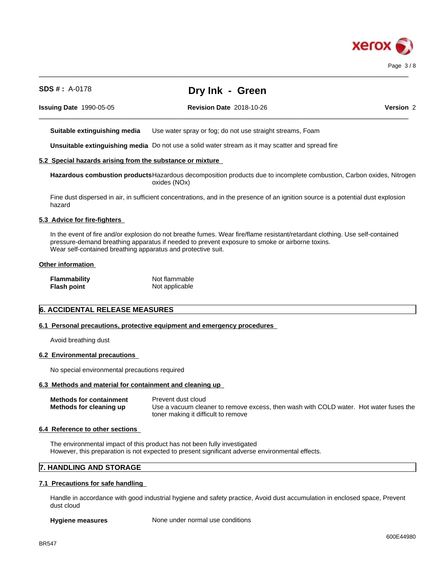

 $\_$  ,  $\_$  ,  $\_$  ,  $\_$  ,  $\_$  ,  $\_$  ,  $\_$  ,  $\_$  ,  $\_$  ,  $\_$  ,  $\_$  ,  $\_$  ,  $\_$  ,  $\_$  ,  $\_$  ,  $\_$  ,  $\_$  ,  $\_$  ,  $\_$  ,  $\_$  ,  $\_$  ,  $\_$  ,  $\_$  ,  $\_$  ,  $\_$  ,  $\_$  ,  $\_$  ,  $\_$  ,  $\_$  ,  $\_$  ,  $\_$  ,  $\_$  ,  $\_$  ,  $\_$  ,  $\_$  ,  $\_$  ,  $\_$  , **Issuing Date** 1990-05-05 **Revision Date** 2018-10-26 **Version** 2 **Suitable extinguishing media** Use water spray or fog; do not use straight streams, Foam **Unsuitable extinguishing media** Do not use a solid water stream as it may scatterand spread fire **5.2 Special hazards arising from the substance or mixture Hazardous combustion products**Hazardous decomposition products due to incomplete combustion, Carbon oxides, Nitrogen oxides (NOx) Fine dust dispersed in air, in sufficient concentrations, and in the presence of an ignition source is a potential dust explosion hazard

 $\_$  ,  $\_$  ,  $\_$  ,  $\_$  ,  $\_$  ,  $\_$  ,  $\_$  ,  $\_$  ,  $\_$  ,  $\_$  ,  $\_$  ,  $\_$  ,  $\_$  ,  $\_$  ,  $\_$  ,  $\_$  ,  $\_$  ,  $\_$  ,  $\_$  ,  $\_$  ,  $\_$  ,  $\_$  ,  $\_$  ,  $\_$  ,  $\_$  ,  $\_$  ,  $\_$  ,  $\_$  ,  $\_$  ,  $\_$  ,  $\_$  ,  $\_$  ,  $\_$  ,  $\_$  ,  $\_$  ,  $\_$  ,  $\_$  ,

# **5.3 Advice for fire-fighters**

In the event of fire and/or explosion do not breathe fumes. Wear fire/flame resistant/retardant clothing. Use self-contained pressure-demand breathing apparatus if needed to prevent exposure to smoke or airborne toxins. Wear self-contained breathing apparatus and protective suit.

### **Other information**

| <b>Flammability</b> | Not flammable  |
|---------------------|----------------|
| <b>Flash point</b>  | Not applicable |

# **6. ACCIDENTAL RELEASE MEASURES**

### **6.1 Personal precautions, protective equipment and emergency procedures**

**SDS # :** A-0178 **Dry Ink - Green**

Avoid breathing dust

#### **6.2 Environmental precautions**

No special environmental precautions required

#### **6.3 Methods and material for containment and cleaning up**

| <b>Methods for containment</b> | Prevent dust cloud                                                                    |
|--------------------------------|---------------------------------------------------------------------------------------|
| Methods for cleaning up        | Use a vacuum cleaner to remove excess, then wash with COLD water. Hot water fuses the |
|                                | toner making it difficult to remove                                                   |

### **6.4 Reference to other sections**

The environmental impact of this product has not been fully investigated However, this preparation is not expected to present significant adverse environmental effects.

### **7. HANDLING AND STORAGE**

#### **7.1 Precautions for safe handling**

Handle in accordance with good industrial hygiene and safety practice, Avoid dust accumulation in enclosed space, Prevent dust cloud

**Hygiene measures** None under normal use conditions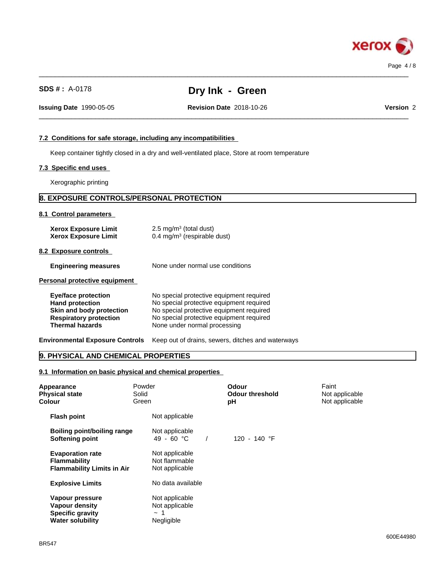

| $SDS # : A-0178$                                                                                                                            | Dry Ink - Green                                                                                                                                                                                              |           |
|---------------------------------------------------------------------------------------------------------------------------------------------|--------------------------------------------------------------------------------------------------------------------------------------------------------------------------------------------------------------|-----------|
| <b>Issuing Date 1990-05-05</b>                                                                                                              | <b>Revision Date 2018-10-26</b>                                                                                                                                                                              | Version 2 |
|                                                                                                                                             |                                                                                                                                                                                                              |           |
| 7.2 Conditions for safe storage, including any incompatibilities                                                                            |                                                                                                                                                                                                              |           |
|                                                                                                                                             | Keep container tightly closed in a dry and well-ventilated place, Store at room temperature                                                                                                                  |           |
| 7.3 Specific end uses                                                                                                                       |                                                                                                                                                                                                              |           |
| Xerographic printing                                                                                                                        |                                                                                                                                                                                                              |           |
| 8. EXPOSURE CONTROLS/PERSONAL PROTECTION                                                                                                    |                                                                                                                                                                                                              |           |
| 8.1 Control parameters                                                                                                                      |                                                                                                                                                                                                              |           |
| <b>Xerox Exposure Limit</b><br><b>Xerox Exposure Limit</b>                                                                                  | $2.5 \text{ mg/m}^3$ (total dust)<br>$0.4 \text{ mg/m}^3$ (respirable dust)                                                                                                                                  |           |
| 8.2 Exposure controls                                                                                                                       |                                                                                                                                                                                                              |           |
| <b>Engineering measures</b>                                                                                                                 | None under normal use conditions                                                                                                                                                                             |           |
| Personal protective equipment                                                                                                               |                                                                                                                                                                                                              |           |
| <b>Eye/face protection</b><br><b>Hand protection</b><br>Skin and body protection<br><b>Respiratory protection</b><br><b>Thermal hazards</b> | No special protective equipment required<br>No special protective equipment required<br>No special protective equipment required<br>No special protective equipment required<br>None under normal processing |           |
| <b>Environmental Exposure Controls</b>                                                                                                      | Keep out of drains, sewers, ditches and waterways                                                                                                                                                            |           |

 $\_$  ,  $\_$  ,  $\_$  ,  $\_$  ,  $\_$  ,  $\_$  ,  $\_$  ,  $\_$  ,  $\_$  ,  $\_$  ,  $\_$  ,  $\_$  ,  $\_$  ,  $\_$  ,  $\_$  ,  $\_$  ,  $\_$  ,  $\_$  ,  $\_$  ,  $\_$  ,  $\_$  ,  $\_$  ,  $\_$  ,  $\_$  ,  $\_$  ,  $\_$  ,  $\_$  ,  $\_$  ,  $\_$  ,  $\_$  ,  $\_$  ,  $\_$  ,  $\_$  ,  $\_$  ,  $\_$  ,  $\_$  ,  $\_$  ,

# **9. PHYSICAL AND CHEMICAL PROPERTIES**

**9.1 Information on basic physical and chemical properties**

| Appearance<br><b>Physical state</b><br><b>Colour</b>                                    | Powder<br>Solid<br>Green                                   | Odour<br><b>Odour threshold</b><br>рH | Faint<br>Not applicable<br>Not applicable |
|-----------------------------------------------------------------------------------------|------------------------------------------------------------|---------------------------------------|-------------------------------------------|
| <b>Flash point</b>                                                                      | Not applicable                                             |                                       |                                           |
| Boiling point/boiling range<br>Softening point                                          | Not applicable<br>49 - 60 $^{\circ}$ C                     | 120 - 140 °F                          |                                           |
| <b>Evaporation rate</b><br><b>Flammability</b><br><b>Flammability Limits in Air</b>     | Not applicable<br>Not flammable<br>Not applicable          |                                       |                                           |
| <b>Explosive Limits</b>                                                                 | No data available                                          |                                       |                                           |
| Vapour pressure<br>Vapour density<br><b>Specific gravity</b><br><b>Water solubility</b> | Not applicable<br>Not applicable<br>$\sim$ 1<br>Negligible |                                       |                                           |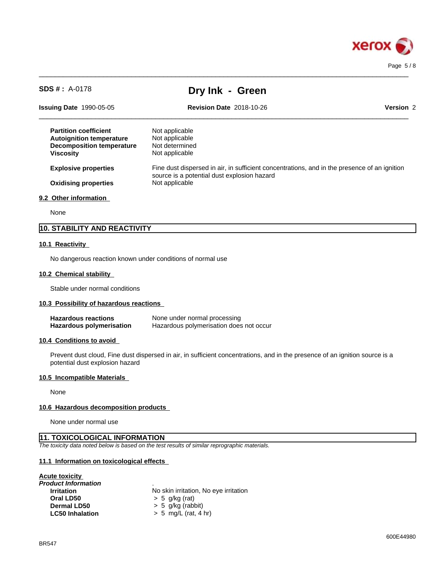

| $SDS # : A-0178$                                                                                                        | Dry Ink - Green                                                                                                                             |           |  |
|-------------------------------------------------------------------------------------------------------------------------|---------------------------------------------------------------------------------------------------------------------------------------------|-----------|--|
| <b>Issuing Date 1990-05-05</b>                                                                                          | <b>Revision Date 2018-10-26</b>                                                                                                             | Version 2 |  |
| <b>Partition coefficient</b><br><b>Autoignition temperature</b><br><b>Decomposition temperature</b><br><b>Viscosity</b> | Not applicable<br>Not applicable<br>Not determined<br>Not applicable                                                                        |           |  |
| <b>Explosive properties</b>                                                                                             | Fine dust dispersed in air, in sufficient concentrations, and in the presence of an ignition<br>source is a potential dust explosion hazard |           |  |
| <b>Oxidising properties</b>                                                                                             | Not applicable                                                                                                                              |           |  |
| 9.2 Other information                                                                                                   |                                                                                                                                             |           |  |
| None                                                                                                                    |                                                                                                                                             |           |  |

 $\_$  ,  $\_$  ,  $\_$  ,  $\_$  ,  $\_$  ,  $\_$  ,  $\_$  ,  $\_$  ,  $\_$  ,  $\_$  ,  $\_$  ,  $\_$  ,  $\_$  ,  $\_$  ,  $\_$  ,  $\_$  ,  $\_$  ,  $\_$  ,  $\_$  ,  $\_$  ,  $\_$  ,  $\_$  ,  $\_$  ,  $\_$  ,  $\_$  ,  $\_$  ,  $\_$  ,  $\_$  ,  $\_$  ,  $\_$  ,  $\_$  ,  $\_$  ,  $\_$  ,  $\_$  ,  $\_$  ,  $\_$  ,  $\_$  ,

# **10. STABILITY AND REACTIVITY**

### **10.1 Reactivity**

No dangerous reaction known under conditions of normal use

### **10.2 Chemical stability**

Stable under normal conditions

### **10.3 Possibility of hazardous reactions**

| <b>Hazardous reactions</b> | None under normal processing            |
|----------------------------|-----------------------------------------|
| Hazardous polymerisation   | Hazardous polymerisation does not occur |

### **10.4 Conditions to avoid**

Prevent dust cloud, Fine dust dispersed in air, in sufficient concentrations, and in the presence of an ignition source is a potential dust explosion hazard

### **10.5 Incompatible Materials**

None

### **10.6 Hazardous decomposition products**

None under normal use

### **11. TOXICOLOGICAL INFORMATION**

*The toxicity data noted below is based on the test results of similar reprographic materials.*

### **11.1 Information on toxicologicaleffects**

# **Acute toxicity**

| No skin irritation, No eye irritation |
|---------------------------------------|
| $> 5$ g/kg (rat)                      |
| $> 5$ g/kg (rabbit)                   |
| $> 5$ mg/L (rat, 4 hr)                |
|                                       |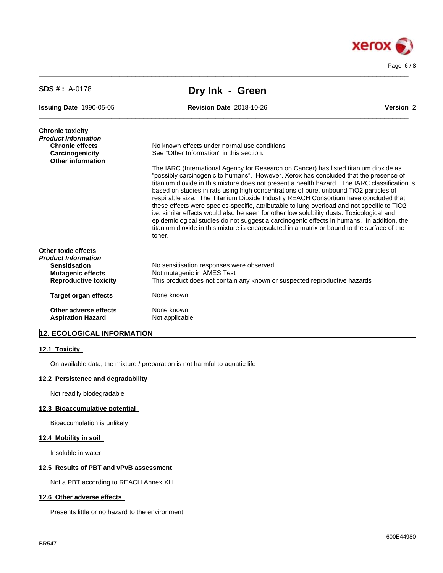

| <b>SDS #</b> : $A-0178$                       | Dry Ink - Green                                                                                                                                                                                                                                                                                                                                                                                                                                                                                                                                                                                                                                                                                                                                                                                                                                                   |           |
|-----------------------------------------------|-------------------------------------------------------------------------------------------------------------------------------------------------------------------------------------------------------------------------------------------------------------------------------------------------------------------------------------------------------------------------------------------------------------------------------------------------------------------------------------------------------------------------------------------------------------------------------------------------------------------------------------------------------------------------------------------------------------------------------------------------------------------------------------------------------------------------------------------------------------------|-----------|
| <b>Issuing Date 1990-05-05</b>                | <b>Revision Date 2018-10-26</b>                                                                                                                                                                                                                                                                                                                                                                                                                                                                                                                                                                                                                                                                                                                                                                                                                                   | Version 2 |
| <b>Chronic toxicity</b>                       |                                                                                                                                                                                                                                                                                                                                                                                                                                                                                                                                                                                                                                                                                                                                                                                                                                                                   |           |
| Product Information<br><b>Chronic effects</b> | No known effects under normal use conditions                                                                                                                                                                                                                                                                                                                                                                                                                                                                                                                                                                                                                                                                                                                                                                                                                      |           |
| Carcinogenicity                               | See "Other Information" in this section.                                                                                                                                                                                                                                                                                                                                                                                                                                                                                                                                                                                                                                                                                                                                                                                                                          |           |
| Other information                             |                                                                                                                                                                                                                                                                                                                                                                                                                                                                                                                                                                                                                                                                                                                                                                                                                                                                   |           |
|                                               | The IARC (International Agency for Research on Cancer) has listed titanium dioxide as<br>"possibly carcinogenic to humans". However, Xerox has concluded that the presence of<br>titanium dioxide in this mixture does not present a health hazard. The IARC classification is<br>based on studies in rats using high concentrations of pure, unbound TiO2 particles of<br>respirable size. The Titanium Dioxide Industry REACH Consortium have concluded that<br>these effects were species-specific, attributable to lung overload and not specific to TiO2,<br>i.e. similar effects would also be seen for other low solubility dusts. Toxicological and<br>epidemiological studies do not suggest a carcinogenic effects in humans. In addition, the<br>titanium dioxide in this mixture is encapsulated in a matrix or bound to the surface of the<br>toner. |           |
| <b>Other toxic effects</b>                    |                                                                                                                                                                                                                                                                                                                                                                                                                                                                                                                                                                                                                                                                                                                                                                                                                                                                   |           |
| <b>Product Information</b>                    |                                                                                                                                                                                                                                                                                                                                                                                                                                                                                                                                                                                                                                                                                                                                                                                                                                                                   |           |
| <b>Sensitisation</b>                          | No sensitisation responses were observed                                                                                                                                                                                                                                                                                                                                                                                                                                                                                                                                                                                                                                                                                                                                                                                                                          |           |
| <b>Mutagenic effects</b>                      | Not mutagenic in AMES Test                                                                                                                                                                                                                                                                                                                                                                                                                                                                                                                                                                                                                                                                                                                                                                                                                                        |           |
| <b>Reproductive toxicity</b>                  | This product does not contain any known or suspected reproductive hazards                                                                                                                                                                                                                                                                                                                                                                                                                                                                                                                                                                                                                                                                                                                                                                                         |           |
| <b>Target organ effects</b>                   | None known                                                                                                                                                                                                                                                                                                                                                                                                                                                                                                                                                                                                                                                                                                                                                                                                                                                        |           |
| Other adverse effects                         | None known                                                                                                                                                                                                                                                                                                                                                                                                                                                                                                                                                                                                                                                                                                                                                                                                                                                        |           |
| <b>Aspiration Hazard</b>                      | Not applicable                                                                                                                                                                                                                                                                                                                                                                                                                                                                                                                                                                                                                                                                                                                                                                                                                                                    |           |
|                                               |                                                                                                                                                                                                                                                                                                                                                                                                                                                                                                                                                                                                                                                                                                                                                                                                                                                                   |           |

 $\_$  ,  $\_$  ,  $\_$  ,  $\_$  ,  $\_$  ,  $\_$  ,  $\_$  ,  $\_$  ,  $\_$  ,  $\_$  ,  $\_$  ,  $\_$  ,  $\_$  ,  $\_$  ,  $\_$  ,  $\_$  ,  $\_$  ,  $\_$  ,  $\_$  ,  $\_$  ,  $\_$  ,  $\_$  ,  $\_$  ,  $\_$  ,  $\_$  ,  $\_$  ,  $\_$  ,  $\_$  ,  $\_$  ,  $\_$  ,  $\_$  ,  $\_$  ,  $\_$  ,  $\_$  ,  $\_$  ,  $\_$  ,  $\_$  ,

# **12. ECOLOGICAL INFORMATION**

### **12.1 Toxicity**

On available data, the mixture / preparation is not harmful to aquatic life

### **12.2 Persistence and degradability**

Not readily biodegradable

### **12.3 Bioaccumulative potential**

Bioaccumulation is unlikely

### **12.4 Mobility in soil**

Insoluble in water

### **12.5 Results of PBT and vPvB assessment**

Not a PBT according to REACH Annex XIII

# **12.6 Other adverse effects**

Presents little or no hazard to the environment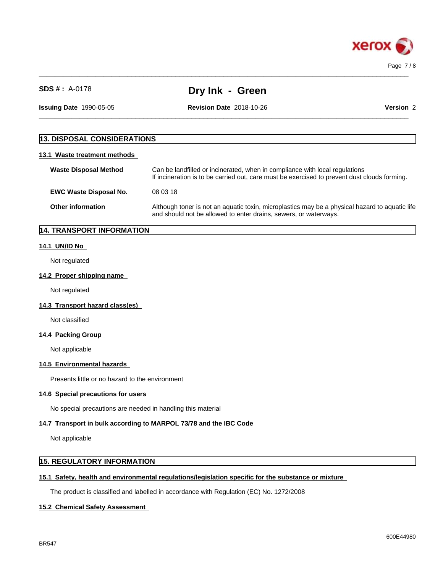

|  | $SDS#: A-0178$ |
|--|----------------|
|  |                |

**Dry Ink - Green** 

 $\_$  ,  $\_$  ,  $\_$  ,  $\_$  ,  $\_$  ,  $\_$  ,  $\_$  ,  $\_$  ,  $\_$  ,  $\_$  ,  $\_$  ,  $\_$  ,  $\_$  ,  $\_$  ,  $\_$  ,  $\_$  ,  $\_$  ,  $\_$  ,  $\_$  ,  $\_$  ,  $\_$  ,  $\_$  ,  $\_$  ,  $\_$  ,  $\_$  ,  $\_$  ,  $\_$  ,  $\_$  ,  $\_$  ,  $\_$  ,  $\_$  ,  $\_$  ,  $\_$  ,  $\_$  ,  $\_$  ,  $\_$  ,  $\_$  ,

 $\_$  ,  $\_$  ,  $\_$  ,  $\_$  ,  $\_$  ,  $\_$  ,  $\_$  ,  $\_$  ,  $\_$  ,  $\_$  ,  $\_$  ,  $\_$  ,  $\_$  ,  $\_$  ,  $\_$  ,  $\_$  ,  $\_$  ,  $\_$  ,  $\_$  ,  $\_$  ,  $\_$  ,  $\_$  ,  $\_$  ,  $\_$  ,  $\_$  ,  $\_$  ,  $\_$  ,  $\_$  ,  $\_$  ,  $\_$  ,  $\_$  ,  $\_$  ,  $\_$  ,  $\_$  ,  $\_$  ,  $\_$  ,  $\_$  , **Issuing Date** 1990-05-05 **Revision Date** 2018-10-26 **Version** 2

# **13. DISPOSAL CONSIDERATIONS**

### **13.1 Waste treatment methods**

| <b>Waste Disposal Method</b>  | Can be landfilled or incinerated, when in compliance with local regulations<br>If incineration is to be carried out, care must be exercised to prevent dust clouds forming. |
|-------------------------------|-----------------------------------------------------------------------------------------------------------------------------------------------------------------------------|
| <b>EWC Waste Disposal No.</b> | 08 03 18                                                                                                                                                                    |
| <b>Other information</b>      | Although toner is not an aquatic toxin, microplastics may be a physical hazard to aquatic life<br>and should not be allowed to enter drains, sewers, or waterways.          |

# **14. TRANSPORT INFORMATION**

### **14.1 UN/ID No**

Not regulated

### **14.2 Proper shipping name**

Not regulated

#### **14.3 Transport hazard class(es)**

Not classified

### **14.4 Packing Group**

Not applicable

### **14.5 Environmental hazards**

Presents little or no hazard to the environment

### **14.6 Special precautions for users**

No special precautions are needed in handling this material

# **14.7 Transport in bulk according to MARPOL 73/78 and the IBC Code**

Not applicable

# **15. REGULATORY INFORMATION**

# **15.1 Safety, health and environmental regulations/legislation specific for the substance or mixture**

The product is classified and labelled in accordance with Regulation (EC) No. 1272/2008

# **15.2 Chemical Safety Assessment**